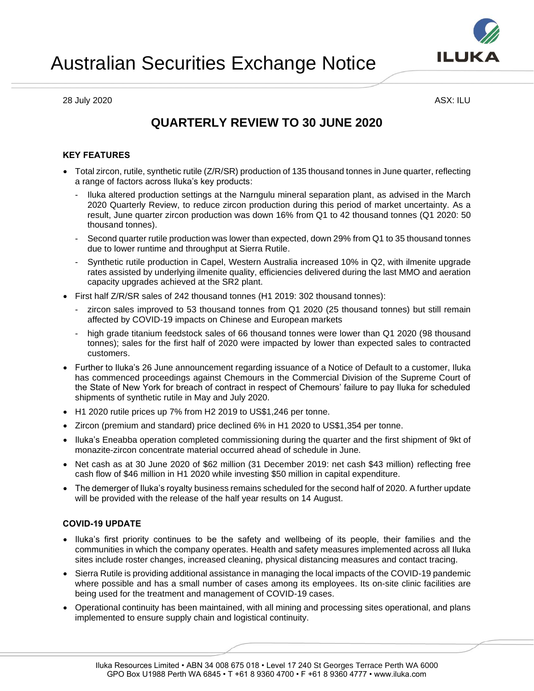

# • Iluka's Eneabba operation completed commissioning during the quarter and the first shipment of 9kt of

- monazite-zircon concentrate material occurred ahead of schedule in June. • Net cash as at 30 June 2020 of \$62 million (31 December 2019: net cash \$43 million) reflecting free
- The demerger of Iluka's royalty business remains scheduled for the second half of 2020. A further update will be provided with the release of the half year results on 14 August.

#### **COVID-19 UPDATE**

- Iluka's first priority continues to be the safety and wellbeing of its people, their families and the communities in which the company operates. Health and safety measures implemented across all Iluka sites include roster changes, increased cleaning, physical distancing measures and contact tracing.
- Sierra Rutile is providing additional assistance in managing the local impacts of the COVID-19 pandemic where possible and has a small number of cases among its employees. Its on-site clinic facilities are being used for the treatment and management of COVID-19 cases.
- Operational continuity has been maintained, with all mining and processing sites operational, and plans implemented to ensure supply chain and logistical continuity.

## Australian Securities Exchange Notice

28 July 2020 ASX: ILU

### **QUARTERLY REVIEW TO 30 JUNE 2020**

### **KEY FEATURES**

- Total zircon, rutile, synthetic rutile (Z/R/SR) production of 135 thousand tonnes in June quarter, reflecting a range of factors across Iluka's key products:
	- Iluka altered production settings at the Narngulu mineral separation plant, as advised in the March 2020 Quarterly Review, to reduce zircon production during this period of market uncertainty. As a result, June quarter zircon production was down 16% from Q1 to 42 thousand tonnes (Q1 2020: 50 thousand tonnes).
	- Second quarter rutile production was lower than expected, down 29% from Q1 to 35 thousand tonnes due to lower runtime and throughput at Sierra Rutile.
	- Synthetic rutile production in Capel, Western Australia increased 10% in Q2, with ilmenite upgrade rates assisted by underlying ilmenite quality, efficiencies delivered during the last MMO and aeration capacity upgrades achieved at the SR2 plant.
- First half Z/R/SR sales of 242 thousand tonnes (H1 2019: 302 thousand tonnes):
	- zircon sales improved to 53 thousand tonnes from Q1 2020 (25 thousand tonnes) but still remain affected by COVID-19 impacts on Chinese and European markets
	- high grade titanium feedstock sales of 66 thousand tonnes were lower than Q1 2020 (98 thousand tonnes); sales for the first half of 2020 were impacted by lower than expected sales to contracted customers.
- Further to Iluka's 26 June announcement regarding issuance of a Notice of Default to a customer, Iluka has commenced proceedings against Chemours in the Commercial Division of the Supreme Court of the State of New York for breach of contract in respect of Chemours' failure to pay Iluka for scheduled shipments of synthetic rutile in May and July 2020.
- 
- H1 2020 rutile prices up 7% from H2 2019 to US\$1,246 per tonne.
- Zircon (premium and standard) price declined 6% in H1 2020 to US\$1,354 per tonne.



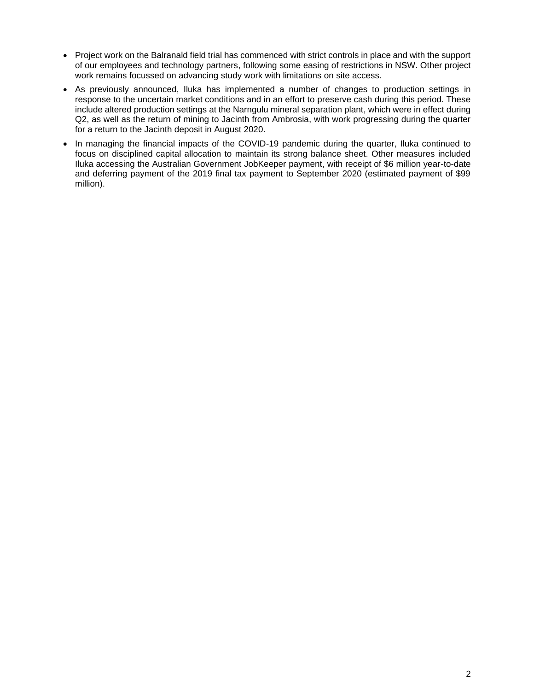- Project work on the Balranald field trial has commenced with strict controls in place and with the support of our employees and technology partners, following some easing of restrictions in NSW. Other project work remains focussed on advancing study work with limitations on site access.
- As previously announced, Iluka has implemented a number of changes to production settings in response to the uncertain market conditions and in an effort to preserve cash during this period. These include altered production settings at the Narngulu mineral separation plant, which were in effect during Q2, as well as the return of mining to Jacinth from Ambrosia, with work progressing during the quarter for a return to the Jacinth deposit in August 2020.
- In managing the financial impacts of the COVID-19 pandemic during the quarter, Iluka continued to focus on disciplined capital allocation to maintain its strong balance sheet. Other measures included Iluka accessing the Australian Government JobKeeper payment, with receipt of \$6 million year-to-date and deferring payment of the 2019 final tax payment to September 2020 (estimated payment of \$99 million).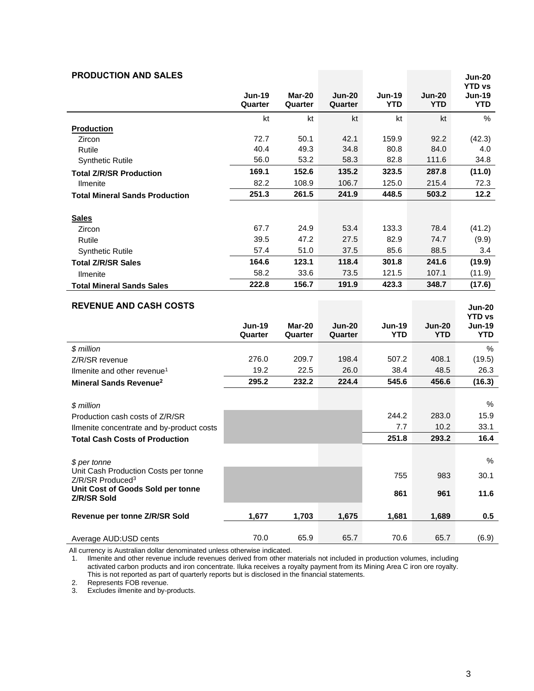| <b>PRODUCTION AND SALES</b>                                       |                          |                   |                          |                             |                             | <b>Jun-20</b>                                |
|-------------------------------------------------------------------|--------------------------|-------------------|--------------------------|-----------------------------|-----------------------------|----------------------------------------------|
|                                                                   | <b>Jun-19</b><br>Quarter | Mar-20<br>Quarter | <b>Jun-20</b><br>Quarter | <b>Jun-19</b><br><b>YTD</b> | <b>Jun-20</b><br><b>YTD</b> | <b>YTD vs</b><br><b>Jun-19</b><br><b>YTD</b> |
|                                                                   | kt                       | kt                | kt                       | kt                          | kt                          | $\%$                                         |
| <b>Production</b>                                                 |                          |                   |                          |                             |                             |                                              |
| Zircon                                                            | 72.7                     | 50.1              | 42.1                     | 159.9                       | 92.2                        | (42.3)                                       |
| Rutile                                                            | 40.4                     | 49.3              | 34.8                     | 80.8                        | 84.0                        | 4.0                                          |
| <b>Synthetic Rutile</b>                                           | 56.0                     | 53.2              | 58.3                     | 82.8                        | 111.6                       | 34.8                                         |
| <b>Total Z/R/SR Production</b>                                    | 169.1                    | 152.6             | 135.2                    | 323.5                       | 287.8                       | (11.0)                                       |
| <b>Ilmenite</b>                                                   | 82.2                     | 108.9             | 106.7                    | 125.0                       | 215.4                       | 72.3                                         |
| <b>Total Mineral Sands Production</b>                             | 251.3                    | 261.5             | 241.9                    | 448.5                       | 503.2                       | 12.2                                         |
| <b>Sales</b>                                                      |                          |                   |                          |                             |                             |                                              |
| Zircon                                                            | 67.7                     | 24.9              | 53.4                     | 133.3                       | 78.4                        | (41.2)                                       |
| Rutile                                                            | 39.5                     | 47.2              | 27.5                     | 82.9                        | 74.7                        | (9.9)                                        |
| <b>Synthetic Rutile</b>                                           | 57.4                     | 51.0              | 37.5                     | 85.6                        | 88.5                        | 3.4                                          |
| <b>Total Z/R/SR Sales</b>                                         | 164.6                    | 123.1             | 118.4                    | 301.8                       | 241.6                       | (19.9)                                       |
| <b>Ilmenite</b>                                                   | 58.2                     | 33.6              | 73.5                     | 121.5                       | 107.1                       | (11.9)                                       |
| <b>Total Mineral Sands Sales</b>                                  | 222.8                    | 156.7             | 191.9                    | 423.3                       | 348.7                       | (17.6)                                       |
|                                                                   |                          |                   |                          |                             |                             |                                              |
| <b>REVENUE AND CASH COSTS</b>                                     |                          |                   |                          |                             |                             | <b>Jun-20</b>                                |
|                                                                   | <b>Jun-19</b>            | Mar-20            | <b>Jun-20</b>            | <b>Jun-19</b>               | <b>Jun-20</b>               | <b>YTD vs</b><br><b>Jun-19</b>               |
|                                                                   | Quarter                  | Quarter           | Quarter                  | <b>YTD</b>                  | <b>YTD</b>                  | <b>YTD</b>                                   |
| \$ million                                                        |                          |                   |                          |                             |                             | %                                            |
| Z/R/SR revenue                                                    | 276.0                    | 209.7             | 198.4                    | 507.2                       | 408.1                       | (19.5)                                       |
| Ilmenite and other revenue <sup>1</sup>                           | 19.2                     | 22.5              | 26.0                     | 38.4                        | 48.5                        | 26.3                                         |
| Mineral Sands Revenue <sup>2</sup>                                | 295.2                    | 232.2             | 224.4                    | 545.6                       | 456.6                       | (16.3)                                       |
|                                                                   |                          |                   |                          |                             |                             |                                              |
| \$ million                                                        |                          |                   |                          |                             |                             | %                                            |
| Production cash costs of Z/R/SR                                   |                          |                   |                          | 244.2                       | 283.0                       | 15.9                                         |
| Ilmenite concentrate and by-product costs                         |                          |                   |                          | 7.7                         | 10.2                        | 33.1                                         |
| <b>Total Cash Costs of Production</b>                             |                          |                   |                          | 251.8                       | 293.2                       | 16.4                                         |
|                                                                   |                          |                   |                          |                             |                             |                                              |
| \$ per tonne                                                      |                          |                   |                          |                             |                             | $\%$                                         |
| Unit Cash Production Costs per tonne                              |                          |                   |                          | 755                         | 983                         | 30.1                                         |
| Z/R/SR Produced <sup>3</sup><br>Unit Cost of Goods Sold per tonne |                          |                   |                          |                             |                             |                                              |
| Z/R/SR Sold                                                       |                          |                   |                          | 861                         | 961                         | 11.6                                         |
| Revenue per tonne Z/R/SR Sold                                     | 1,677                    | 1,703             | 1,675                    | 1,681                       | 1,689                       | 0.5                                          |
|                                                                   |                          |                   |                          |                             |                             |                                              |
|                                                                   | 70.0                     | 65.9              |                          | 70.6                        |                             |                                              |

All currency is Australian dollar denominated unless otherwise indicated.

1. Ilmenite and other revenue include revenues derived from other materials not included in production volumes, including activated carbon products and iron concentrate. Iluka receives a royalty payment from its Mining Area C iron ore royalty. This is not reported as part of quarterly reports but is disclosed in the financial statements.

2. Represents FOB revenue.

3. Excludes ilmenite and by-products.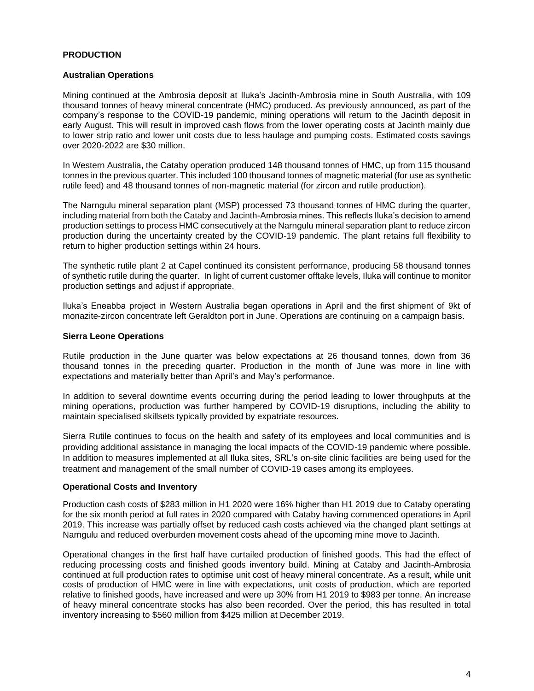#### **PRODUCTION**

#### **Australian Operations**

Mining continued at the Ambrosia deposit at Iluka's Jacinth-Ambrosia mine in South Australia, with 109 thousand tonnes of heavy mineral concentrate (HMC) produced. As previously announced, as part of the company's response to the COVID-19 pandemic, mining operations will return to the Jacinth deposit in early August. This will result in improved cash flows from the lower operating costs at Jacinth mainly due to lower strip ratio and lower unit costs due to less haulage and pumping costs. Estimated costs savings over 2020-2022 are \$30 million.

In Western Australia, the Cataby operation produced 148 thousand tonnes of HMC, up from 115 thousand tonnes in the previous quarter. This included 100 thousand tonnes of magnetic material (for use as synthetic rutile feed) and 48 thousand tonnes of non-magnetic material (for zircon and rutile production).

The Narngulu mineral separation plant (MSP) processed 73 thousand tonnes of HMC during the quarter, including material from both the Cataby and Jacinth-Ambrosia mines. This reflects Iluka's decision to amend production settings to process HMC consecutively at the Narngulu mineral separation plant to reduce zircon production during the uncertainty created by the COVID-19 pandemic. The plant retains full flexibility to return to higher production settings within 24 hours.

The synthetic rutile plant 2 at Capel continued its consistent performance, producing 58 thousand tonnes of synthetic rutile during the quarter. In light of current customer offtake levels, Iluka will continue to monitor production settings and adjust if appropriate.

Iluka's Eneabba project in Western Australia began operations in April and the first shipment of 9kt of monazite-zircon concentrate left Geraldton port in June. Operations are continuing on a campaign basis.

#### **Sierra Leone Operations**

Rutile production in the June quarter was below expectations at 26 thousand tonnes, down from 36 thousand tonnes in the preceding quarter. Production in the month of June was more in line with expectations and materially better than April's and May's performance.

In addition to several downtime events occurring during the period leading to lower throughputs at the mining operations, production was further hampered by COVID-19 disruptions, including the ability to maintain specialised skillsets typically provided by expatriate resources.

Sierra Rutile continues to focus on the health and safety of its employees and local communities and is providing additional assistance in managing the local impacts of the COVID-19 pandemic where possible. In addition to measures implemented at all Iluka sites, SRL's on-site clinic facilities are being used for the treatment and management of the small number of COVID-19 cases among its employees.

#### **Operational Costs and Inventory**

Production cash costs of \$283 million in H1 2020 were 16% higher than H1 2019 due to Cataby operating for the six month period at full rates in 2020 compared with Cataby having commenced operations in April 2019. This increase was partially offset by reduced cash costs achieved via the changed plant settings at Narngulu and reduced overburden movement costs ahead of the upcoming mine move to Jacinth.

Operational changes in the first half have curtailed production of finished goods. This had the effect of reducing processing costs and finished goods inventory build. Mining at Cataby and Jacinth-Ambrosia continued at full production rates to optimise unit cost of heavy mineral concentrate. As a result, while unit costs of production of HMC were in line with expectations, unit costs of production, which are reported relative to finished goods, have increased and were up 30% from H1 2019 to \$983 per tonne. An increase of heavy mineral concentrate stocks has also been recorded. Over the period, this has resulted in total inventory increasing to \$560 million from \$425 million at December 2019.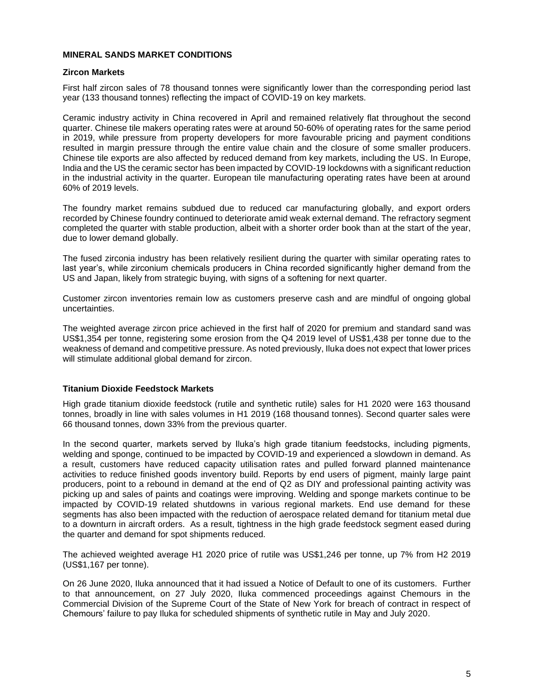#### **MINERAL SANDS MARKET CONDITIONS**

#### **Zircon Markets**

First half zircon sales of 78 thousand tonnes were significantly lower than the corresponding period last year (133 thousand tonnes) reflecting the impact of COVID-19 on key markets.

Ceramic industry activity in China recovered in April and remained relatively flat throughout the second quarter. Chinese tile makers operating rates were at around 50-60% of operating rates for the same period in 2019, while pressure from property developers for more favourable pricing and payment conditions resulted in margin pressure through the entire value chain and the closure of some smaller producers. Chinese tile exports are also affected by reduced demand from key markets, including the US. In Europe, India and the US the ceramic sector has been impacted by COVID-19 lockdowns with a significant reduction in the industrial activity in the quarter. European tile manufacturing operating rates have been at around 60% of 2019 levels.

The foundry market remains subdued due to reduced car manufacturing globally, and export orders recorded by Chinese foundry continued to deteriorate amid weak external demand. The refractory segment completed the quarter with stable production, albeit with a shorter order book than at the start of the year, due to lower demand globally.

The fused zirconia industry has been relatively resilient during the quarter with similar operating rates to last year's, while zirconium chemicals producers in China recorded significantly higher demand from the US and Japan, likely from strategic buying, with signs of a softening for next quarter.

Customer zircon inventories remain low as customers preserve cash and are mindful of ongoing global uncertainties.

The weighted average zircon price achieved in the first half of 2020 for premium and standard sand was US\$1,354 per tonne, registering some erosion from the Q4 2019 level of US\$1,438 per tonne due to the weakness of demand and competitive pressure. As noted previously, Iluka does not expect that lower prices will stimulate additional global demand for zircon.

#### **Titanium Dioxide Feedstock Markets**

High grade titanium dioxide feedstock (rutile and synthetic rutile) sales for H1 2020 were 163 thousand tonnes, broadly in line with sales volumes in H1 2019 (168 thousand tonnes). Second quarter sales were 66 thousand tonnes, down 33% from the previous quarter.

In the second quarter, markets served by Iluka's high grade titanium feedstocks, including pigments, welding and sponge, continued to be impacted by COVID-19 and experienced a slowdown in demand. As a result, customers have reduced capacity utilisation rates and pulled forward planned maintenance activities to reduce finished goods inventory build. Reports by end users of pigment, mainly large paint producers, point to a rebound in demand at the end of Q2 as DIY and professional painting activity was picking up and sales of paints and coatings were improving. Welding and sponge markets continue to be impacted by COVID-19 related shutdowns in various regional markets. End use demand for these segments has also been impacted with the reduction of aerospace related demand for titanium metal due to a downturn in aircraft orders. As a result, tightness in the high grade feedstock segment eased during the quarter and demand for spot shipments reduced.

The achieved weighted average H1 2020 price of rutile was US\$1,246 per tonne, up 7% from H2 2019 (US\$1,167 per tonne).

On 26 June 2020, Iluka announced that it had issued a Notice of Default to one of its customers. Further to that announcement, on 27 July 2020, Iluka commenced proceedings against Chemours in the Commercial Division of the Supreme Court of the State of New York for breach of contract in respect of Chemours' failure to pay Iluka for scheduled shipments of synthetic rutile in May and July 2020.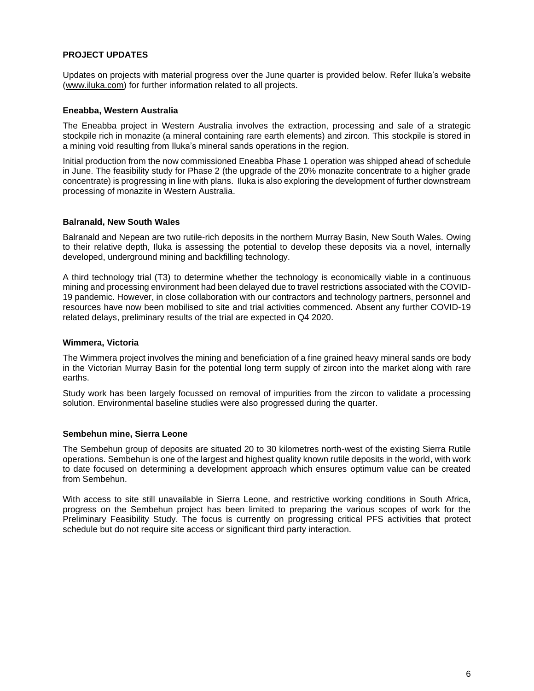#### **PROJECT UPDATES**

Updates on projects with material progress over the June quarter is provided below. Refer Iluka's website [\(www.iluka.com\)](http://www.iluka.com/) for further information related to all projects.

#### **Eneabba, Western Australia**

The Eneabba project in Western Australia involves the extraction, processing and sale of a strategic stockpile rich in monazite (a mineral containing rare earth elements) and zircon. This stockpile is stored in a mining void resulting from Iluka's mineral sands operations in the region.

Initial production from the now commissioned Eneabba Phase 1 operation was shipped ahead of schedule in June. The feasibility study for Phase 2 (the upgrade of the 20% monazite concentrate to a higher grade concentrate) is progressing in line with plans. Iluka is also exploring the development of further downstream processing of monazite in Western Australia.

#### **Balranald, New South Wales**

Balranald and Nepean are two rutile-rich deposits in the northern Murray Basin, New South Wales. Owing to their relative depth, Iluka is assessing the potential to develop these deposits via a novel, internally developed, underground mining and backfilling technology.

A third technology trial (T3) to determine whether the technology is economically viable in a continuous mining and processing environment had been delayed due to travel restrictions associated with the COVID-19 pandemic. However, in close collaboration with our contractors and technology partners, personnel and resources have now been mobilised to site and trial activities commenced. Absent any further COVID-19 related delays, preliminary results of the trial are expected in Q4 2020.

#### **Wimmera, Victoria**

The Wimmera project involves the mining and beneficiation of a fine grained heavy mineral sands ore body in the Victorian Murray Basin for the potential long term supply of zircon into the market along with rare earths.

Study work has been largely focussed on removal of impurities from the zircon to validate a processing solution. Environmental baseline studies were also progressed during the quarter.

#### **Sembehun mine, Sierra Leone**

The Sembehun group of deposits are situated 20 to 30 kilometres north-west of the existing Sierra Rutile operations. Sembehun is one of the largest and highest quality known rutile deposits in the world, with work to date focused on determining a development approach which ensures optimum value can be created from Sembehun.

With access to site still unavailable in Sierra Leone, and restrictive working conditions in South Africa, progress on the Sembehun project has been limited to preparing the various scopes of work for the Preliminary Feasibility Study. The focus is currently on progressing critical PFS activities that protect schedule but do not require site access or significant third party interaction.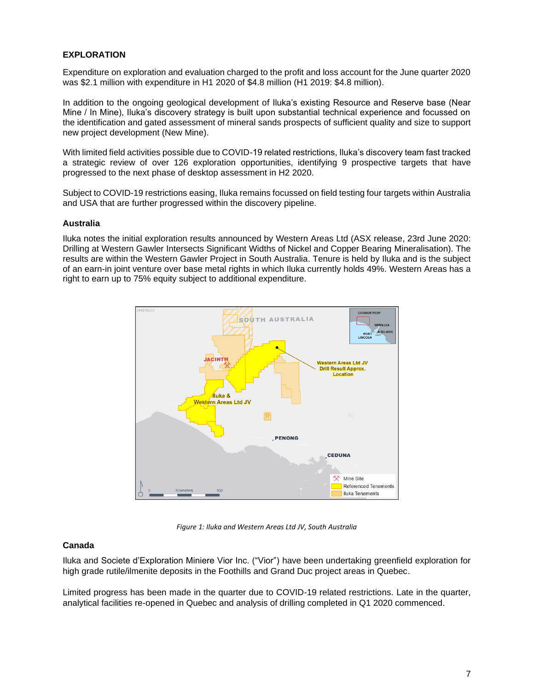#### **EXPLORATION**

Expenditure on exploration and evaluation charged to the profit and loss account for the June quarter 2020 was \$2.1 million with expenditure in H1 2020 of \$4.8 million (H1 2019: \$4.8 million).

In addition to the ongoing geological development of Iluka's existing Resource and Reserve base (Near Mine / In Mine), Iluka's discovery strategy is built upon substantial technical experience and focussed on the identification and gated assessment of mineral sands prospects of sufficient quality and size to support new project development (New Mine).

With limited field activities possible due to COVID-19 related restrictions, Iluka's discovery team fast tracked a strategic review of over 126 exploration opportunities, identifying 9 prospective targets that have progressed to the next phase of desktop assessment in H2 2020.

Subject to COVID-19 restrictions easing, Iluka remains focussed on field testing four targets within Australia and USA that are further progressed within the discovery pipeline.

#### **Australia**

Iluka notes the initial exploration results announced by Western Areas Ltd (ASX release, 23rd June 2020: Drilling at Western Gawler Intersects Significant Widths of Nickel and Copper Bearing Mineralisation). The results are within the Western Gawler Project in South Australia. Tenure is held by Iluka and is the subject of an earn-in joint venture over base metal rights in which Iluka currently holds 49%. Western Areas has a right to earn up to 75% equity subject to additional expenditure.



*Figure 1: Iluka and Western Areas Ltd JV, South Australia* 

#### **Canada**

Iluka and Societe d'Exploration Miniere Vior Inc. ("Vior") have been undertaking greenfield exploration for high grade rutile/ilmenite deposits in the Foothills and Grand Duc project areas in Quebec.

Limited progress has been made in the quarter due to COVID-19 related restrictions. Late in the quarter, analytical facilities re-opened in Quebec and analysis of drilling completed in Q1 2020 commenced.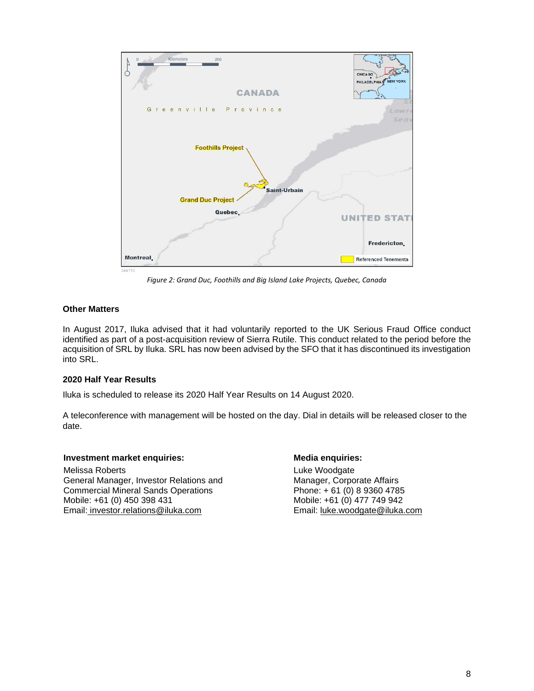

*Figure 2: Grand Duc, Foothills and Big Island Lake Projects, Quebec, Canada*

#### **Other Matters**

In August 2017, Iluka advised that it had voluntarily reported to the UK Serious Fraud Office conduct identified as part of a post-acquisition review of Sierra Rutile. This conduct related to the period before the acquisition of SRL by Iluka. SRL has now been advised by the SFO that it has discontinued its investigation into SRL.

#### **2020 Half Year Results**

Iluka is scheduled to release its 2020 Half Year Results on 14 August 2020.

A teleconference with management will be hosted on the day. Dial in details will be released closer to the date.

#### **Investment market enquiries: Media enquiries: Media enquiries:**

Melissa Roberts General Manager, Investor Relations and Commercial Mineral Sands Operations Mobile: +61 (0) 450 398 431 Email: [investor.relations@iluka.com](mailto:investor.relations@iluka.com)

Luke Woodgate Manager, Corporate Affairs Phone: + 61 (0) 8 9360 4785 Mobile: +61 (0) 477 749 942 Email: [luke.woodgate@iluka.com](mailto:luke.woodgate@iluka.com)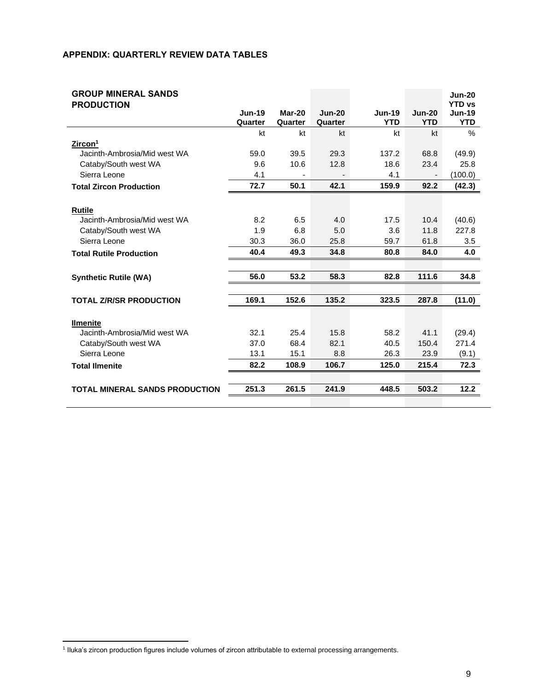#### **APPENDIX: QUARTERLY REVIEW DATA TABLES**

| <b>GROUP MINERAL SANDS</b>            |                          |                   |                     |                             |                        | <b>Jun-20</b><br><b>YTD vs</b> |
|---------------------------------------|--------------------------|-------------------|---------------------|-----------------------------|------------------------|--------------------------------|
| <b>PRODUCTION</b>                     | <b>Jun-19</b><br>Quarter | Mar-20<br>Quarter | $Jun-20$<br>Quarter | <b>Jun-19</b><br><b>YTD</b> | $Jun-20$<br><b>YTD</b> | <b>Jun-19</b><br><b>YTD</b>    |
|                                       | kt                       | kt                | kt                  | kt                          | kt                     | $\%$                           |
| Zircon <sup>1</sup>                   |                          |                   |                     |                             |                        |                                |
| Jacinth-Ambrosia/Mid west WA          | 59.0                     | 39.5              | 29.3                | 137.2                       | 68.8                   | (49.9)                         |
| Cataby/South west WA                  | 9.6                      | 10.6              | 12.8                | 18.6                        | 23.4                   | 25.8                           |
| Sierra Leone                          | 4.1                      |                   |                     | 4.1                         |                        | (100.0)                        |
| <b>Total Zircon Production</b>        | 72.7                     | 50.1              | 42.1                | 159.9                       | 92.2                   | (42.3)                         |
|                                       |                          |                   |                     |                             |                        |                                |
| <b>Rutile</b>                         |                          |                   |                     |                             |                        |                                |
| Jacinth-Ambrosia/Mid west WA          | 8.2                      | 6.5               | 4.0                 | 17.5                        | 10.4                   | (40.6)                         |
| Cataby/South west WA                  | 1.9                      | 6.8               | 5.0                 | 3.6                         | 11.8                   | 227.8                          |
| Sierra Leone                          | 30.3                     | 36.0              | 25.8                | 59.7                        | 61.8                   | 3.5                            |
| <b>Total Rutile Production</b>        | 40.4                     | 49.3              | 34.8                | 80.8                        | 84.0                   | 4.0                            |
|                                       |                          |                   |                     |                             |                        |                                |
| <b>Synthetic Rutile (WA)</b>          | 56.0                     | 53.2              | 58.3                | 82.8                        | 111.6                  | 34.8                           |
|                                       |                          |                   |                     |                             |                        |                                |
| <b>TOTAL Z/R/SR PRODUCTION</b>        | 169.1                    | 152.6             | 135.2               | 323.5                       | 287.8                  | (11.0)                         |
|                                       |                          |                   |                     |                             |                        |                                |
| <b>Ilmenite</b>                       |                          |                   |                     |                             |                        |                                |
| Jacinth-Ambrosia/Mid west WA          | 32.1                     | 25.4              | 15.8                | 58.2                        | 41.1                   | (29.4)                         |
| Cataby/South west WA                  | 37.0                     | 68.4              | 82.1                | 40.5                        | 150.4                  | 271.4                          |
| Sierra Leone                          | 13.1                     | 15.1              | 8.8                 | 26.3                        | 23.9                   | (9.1)                          |
| <b>Total Ilmenite</b>                 | 82.2                     | 108.9             | 106.7               | 125.0                       | 215.4                  | 72.3                           |
|                                       |                          |                   |                     |                             |                        |                                |
| <b>TOTAL MINERAL SANDS PRODUCTION</b> | 251.3                    | 261.5             | 241.9               | 448.5                       | 503.2                  | 12.2                           |
|                                       |                          |                   |                     |                             |                        |                                |

<sup>1</sup> Iluka's zircon production figures include volumes of zircon attributable to external processing arrangements.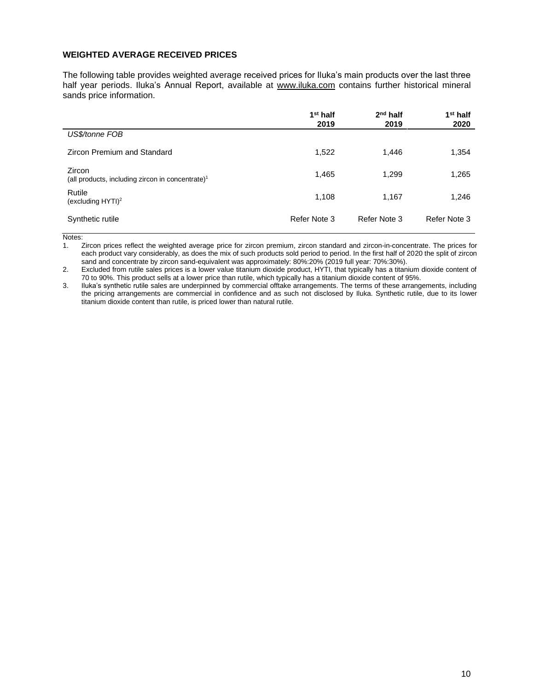#### **WEIGHTED AVERAGE RECEIVED PRICES**

The following table provides weighted average received prices for Iluka's main products over the last three half year periods. Iluka's Annual Report, available at [www.iluka.com](http://www.iluka.com/) contains further historical mineral sands price information.

|                                                                        | $1st$ half<br>2019 | $2nd$ half<br>2019 | 1 <sup>st</sup> half<br>2020 |
|------------------------------------------------------------------------|--------------------|--------------------|------------------------------|
| US\$/tonne FOB                                                         |                    |                    |                              |
| Zircon Premium and Standard                                            | 1,522              | 1,446              | 1,354                        |
| Zircon<br>(all products, including zircon in concentrate) <sup>1</sup> | 1,465              | 1,299              | 1,265                        |
| Rutile<br>(excluding $HYTI$ ) <sup>2</sup>                             | 1,108              | 1,167              | 1,246                        |
| Synthetic rutile                                                       | Refer Note 3       | Refer Note 3       | Refer Note 3                 |

Notes:

1. Zircon prices reflect the weighted average price for zircon premium, zircon standard and zircon-in-concentrate. The prices for each product vary considerably, as does the mix of such products sold period to period. In the first half of 2020 the split of zircon sand and concentrate by zircon sand-equivalent was approximately: 80%:20% (2019 full year: 70%:30%).

2. Excluded from rutile sales prices is a lower value titanium dioxide product, HYTI, that typically has a titanium dioxide content of 70 to 90%. This product sells at a lower price than rutile, which typically has a titanium dioxide content of 95%.

3. Iluka's synthetic rutile sales are underpinned by commercial offtake arrangements. The terms of these arrangements, including the pricing arrangements are commercial in confidence and as such not disclosed by Iluka. Synthetic rutile, due to its lower titanium dioxide content than rutile, is priced lower than natural rutile.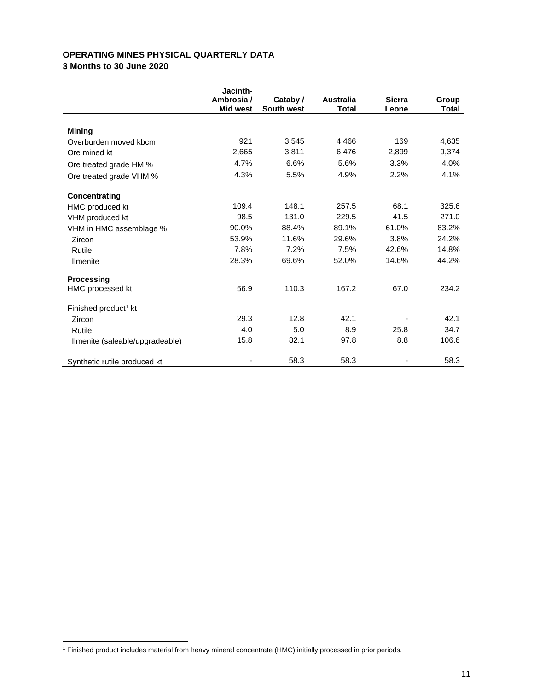### **OPERATING MINES PHYSICAL QUARTERLY DATA**

**3 Months to 30 June 2020**

|                                  | Jacinth-        |            |                  |               |              |
|----------------------------------|-----------------|------------|------------------|---------------|--------------|
|                                  | Ambrosia /      | Cataby /   | <b>Australia</b> | <b>Sierra</b> | Group        |
|                                  | <b>Mid west</b> | South west | <b>Total</b>     | Leone         | <b>Total</b> |
| <b>Mining</b>                    |                 |            |                  |               |              |
| Overburden moved kbcm            | 921             | 3,545      | 4,466            | 169           | 4,635        |
| Ore mined kt                     | 2,665           | 3,811      | 6,476            | 2,899         | 9,374        |
| Ore treated grade HM %           | 4.7%            | 6.6%       | 5.6%             | 3.3%          | 4.0%         |
| Ore treated grade VHM %          | 4.3%            | 5.5%       | 4.9%             | 2.2%          | 4.1%         |
| <b>Concentrating</b>             |                 |            |                  |               |              |
| <b>HMC</b> produced kt           | 109.4           | 148.1      | 257.5            | 68.1          | 325.6        |
| VHM produced kt                  | 98.5            | 131.0      | 229.5            | 41.5          | 271.0        |
| VHM in HMC assemblage %          | 90.0%           | 88.4%      | 89.1%            | 61.0%         | 83.2%        |
| Zircon                           | 53.9%           | 11.6%      | 29.6%            | 3.8%          | 24.2%        |
| Rutile                           | 7.8%            | 7.2%       | 7.5%             | 42.6%         | 14.8%        |
| <b>Ilmenite</b>                  | 28.3%           | 69.6%      | 52.0%            | 14.6%         | 44.2%        |
| <b>Processing</b>                |                 |            |                  |               |              |
| HMC processed kt                 | 56.9            | 110.3      | 167.2            | 67.0          | 234.2        |
| Finished product <sup>1</sup> kt |                 |            |                  |               |              |
| Zircon                           | 29.3            | 12.8       | 42.1             |               | 42.1         |
| Rutile                           | 4.0             | 5.0        | 8.9              | 25.8          | 34.7         |
| Ilmenite (saleable/upgradeable)  | 15.8            | 82.1       | 97.8             | 8.8           | 106.6        |
| Synthetic rutile produced kt     |                 | 58.3       | 58.3             |               | 58.3         |

<sup>1</sup> Finished product includes material from heavy mineral concentrate (HMC) initially processed in prior periods.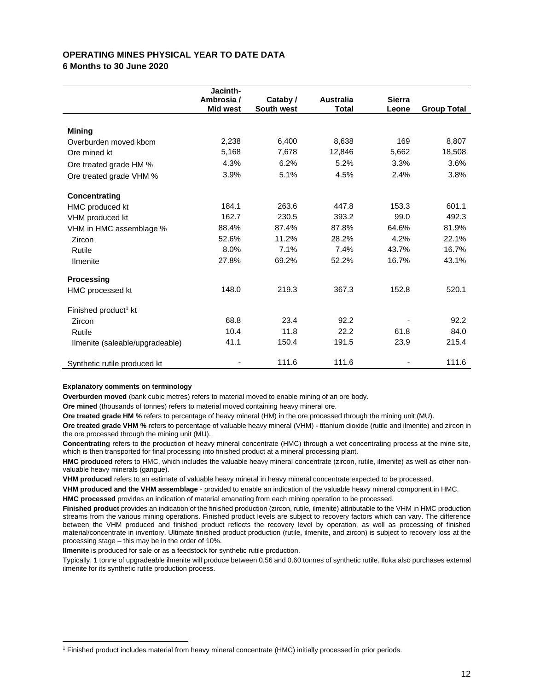#### **OPERATING MINES PHYSICAL YEAR TO DATE DATA 6 Months to 30 June 2020**

**Jacinth-Ambrosia / Mid west Cataby / South west Australia Total Sierra Leone Group Total Mining** Overburden moved kbcm 2,238 6,400 8,638 169 8,807 Ore mined kt 5,168 7,678 12,846 5,662 18,508 Ore treated grade HM % 4.3% 6.2% 5.2% 3.3% 3.6% Ore treated grade VHM % 3.9% 5.1% 4.5% 2.4% 3.8% **Concentrating** HMC produced kt 184.1 263.6 447.8 153.3 601.1 VHM produced kt 162.7 230.5 393.2 99.0 492.3 VHM in HMC assemblage % 88.4% 87.4% 87.8% 64.6% 81.9% Zircon 52.6% 11.2% 28.2% 4.2% 22.1% Rutile 8.0% 7.1% 7.4% 43.7% 16.7% Ilmenite 27.8% 69.2% 52.2% 16.7% 43.1% **Processing** HMC processed kt 148.0 219.3 367.3 152.8 520.1 Finished product<sup>1</sup> kt Zircon 68.8 23.4 92.2 - 92.2 Rutile 10.4 11.8 22.2 61.8 84.0 Ilmenite (saleable/upgradeable)  $41.1$  150.4 191.5 23.9 215.4 Synthetic rutile produced kt  $\sim$  111.6 111.6 111.6 111.6 111.6

#### **Explanatory comments on terminology**

**Overburden moved** (bank cubic metres) refers to material moved to enable mining of an ore body.

**Ore mined** (thousands of tonnes) refers to material moved containing heavy mineral ore.

**Ore treated grade HM %** refers to percentage of heavy mineral (HM) in the ore processed through the mining unit (MU).

**Ore treated grade VHM %** refers to percentage of valuable heavy mineral (VHM) - titanium dioxide (rutile and ilmenite) and zircon in the ore processed through the mining unit (MU).

**Concentrating** refers to the production of heavy mineral concentrate (HMC) through a wet concentrating process at the mine site, which is then transported for final processing into finished product at a mineral processing plant.

**HMC produced** refers to HMC, which includes the valuable heavy mineral concentrate (zircon, rutile, ilmenite) as well as other nonvaluable heavy minerals (gangue).

**VHM produced** refers to an estimate of valuable heavy mineral in heavy mineral concentrate expected to be processed.

**VHM produced and the VHM assemblage** - provided to enable an indication of the valuable heavy mineral component in HMC. **HMC processed** provides an indication of material emanating from each mining operation to be processed.

**Finished product** provides an indication of the finished production (zircon, rutile, ilmenite) attributable to the VHM in HMC production streams from the various mining operations. Finished product levels are subject to recovery factors which can vary. The difference between the VHM produced and finished product reflects the recovery level by operation, as well as processing of finished material/concentrate in inventory. Ultimate finished product production (rutile, ilmenite, and zircon) is subject to recovery loss at the processing stage – this may be in the order of 10%.

**Ilmenite** is produced for sale or as a feedstock for synthetic rutile production.

Typically, 1 tonne of upgradeable ilmenite will produce between 0.56 and 0.60 tonnes of synthetic rutile. Iluka also purchases external ilmenite for its synthetic rutile production process.

<sup>1</sup> Finished product includes material from heavy mineral concentrate (HMC) initially processed in prior periods.